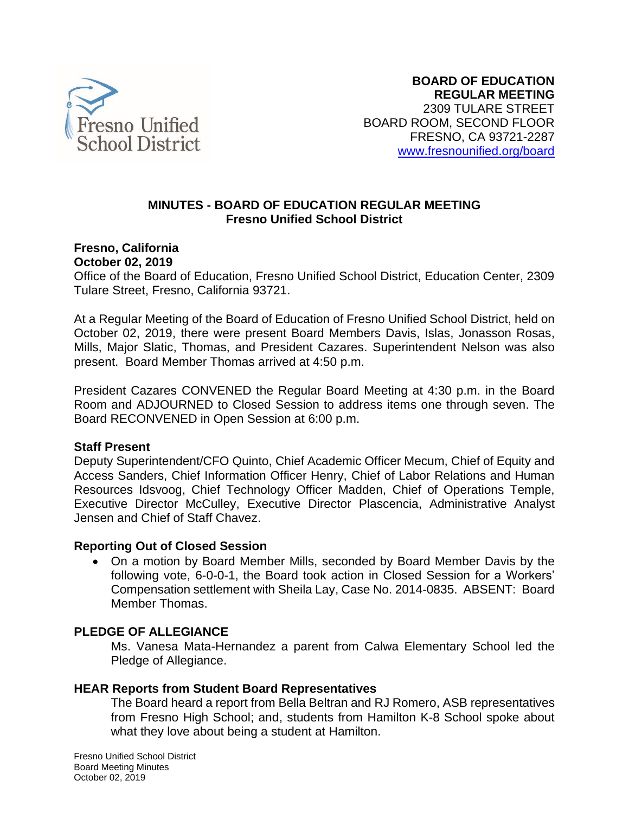

### **MINUTES - BOARD OF EDUCATION REGULAR MEETING Fresno Unified School District**

#### **Fresno, California October 02, 2019**

Office of the Board of Education, Fresno Unified School District, Education Center, 2309 Tulare Street, Fresno, California 93721.

At a Regular Meeting of the Board of Education of Fresno Unified School District, held on October 02, 2019, there were present Board Members Davis, Islas, Jonasson Rosas, Mills, Major Slatic, Thomas, and President Cazares. Superintendent Nelson was also present. Board Member Thomas arrived at 4:50 p.m.

President Cazares CONVENED the Regular Board Meeting at 4:30 p.m. in the Board Room and ADJOURNED to Closed Session to address items one through seven. The Board RECONVENED in Open Session at 6:00 p.m.

#### **Staff Present**

Deputy Superintendent/CFO Quinto, Chief Academic Officer Mecum, Chief of Equity and Access Sanders, Chief Information Officer Henry, Chief of Labor Relations and Human Resources Idsvoog, Chief Technology Officer Madden, Chief of Operations Temple, Executive Director McCulley, Executive Director Plascencia, Administrative Analyst Jensen and Chief of Staff Chavez.

#### **Reporting Out of Closed Session**

• On a motion by Board Member Mills, seconded by Board Member Davis by the following vote, 6-0-0-1, the Board took action in Closed Session for a Workers' Compensation settlement with Sheila Lay, Case No. 2014-0835. ABSENT: Board Member Thomas.

# **PLEDGE OF ALLEGIANCE**

Ms. Vanesa Mata-Hernandez a parent from Calwa Elementary School led the Pledge of Allegiance.

#### **HEAR Reports from Student Board Representatives**

The Board heard a report from Bella Beltran and RJ Romero, ASB representatives from Fresno High School; and, students from Hamilton K-8 School spoke about what they love about being a student at Hamilton.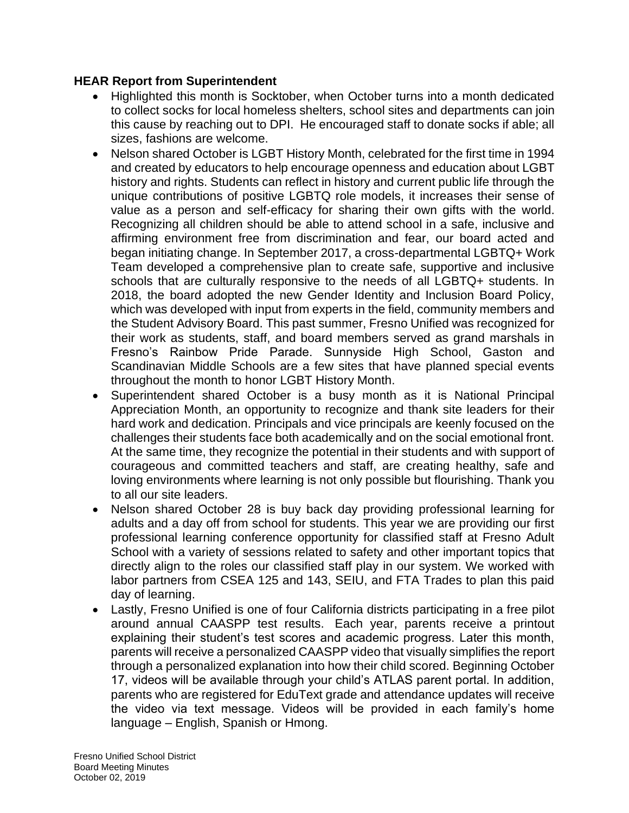## **HEAR Report from Superintendent**

- Highlighted this month is Socktober, when October turns into a month dedicated to collect socks for local homeless shelters, school sites and departments can join this cause by reaching out to DPI. He encouraged staff to donate socks if able; all sizes, fashions are welcome.
- Nelson shared October is LGBT History Month, celebrated for the first time in 1994 and created by educators to help encourage openness and education about LGBT history and rights. Students can reflect in history and current public life through the unique contributions of positive LGBTQ role models, it increases their sense of value as a person and self-efficacy for sharing their own gifts with the world. Recognizing all children should be able to attend school in a safe, inclusive and affirming environment free from discrimination and fear, our board acted and began initiating change. In September 2017, a cross-departmental LGBTQ+ Work Team developed a comprehensive plan to create safe, supportive and inclusive schools that are culturally responsive to the needs of all LGBTQ+ students. In 2018, the board adopted the new Gender Identity and Inclusion Board Policy, which was developed with input from experts in the field, community members and the Student Advisory Board. This past summer, Fresno Unified was recognized for their work as students, staff, and board members served as grand marshals in Fresno's Rainbow Pride Parade. Sunnyside High School, Gaston and Scandinavian Middle Schools are a few sites that have planned special events throughout the month to honor LGBT History Month.
- Superintendent shared October is a busy month as it is National Principal Appreciation Month, an opportunity to recognize and thank site leaders for their hard work and dedication. Principals and vice principals are keenly focused on the challenges their students face both academically and on the social emotional front. At the same time, they recognize the potential in their students and with support of courageous and committed teachers and staff, are creating healthy, safe and loving environments where learning is not only possible but flourishing. Thank you to all our site leaders.
- Nelson shared October 28 is buy back day providing professional learning for adults and a day off from school for students. This year we are providing our first professional learning conference opportunity for classified staff at Fresno Adult School with a variety of sessions related to safety and other important topics that directly align to the roles our classified staff play in our system. We worked with labor partners from CSEA 125 and 143, SEIU, and FTA Trades to plan this paid day of learning.
- Lastly, Fresno Unified is one of four California districts participating in a free pilot around annual CAASPP test results. Each year, parents receive a printout explaining their student's test scores and academic progress. Later this month, parents will receive a personalized CAASPP video that visually simplifies the report through a personalized explanation into how their child scored. Beginning October 17, videos will be available through your child's ATLAS parent portal. In addition, parents who are registered for EduText grade and attendance updates will receive the video via text message. Videos will be provided in each family's home language – English, Spanish or Hmong.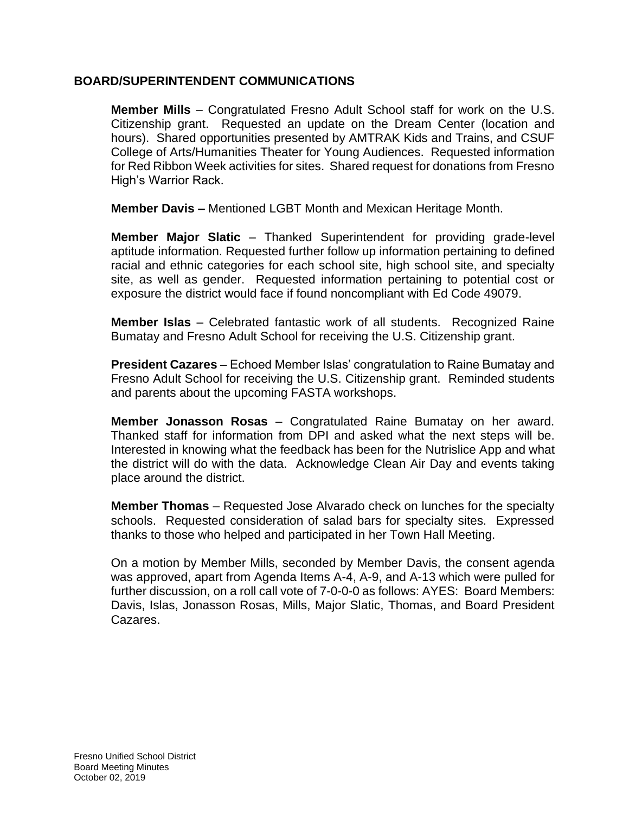#### **BOARD/SUPERINTENDENT COMMUNICATIONS**

**Member Mills** – Congratulated Fresno Adult School staff for work on the U.S. Citizenship grant. Requested an update on the Dream Center (location and hours). Shared opportunities presented by AMTRAK Kids and Trains, and CSUF College of Arts/Humanities Theater for Young Audiences. Requested information for Red Ribbon Week activities for sites. Shared request for donations from Fresno High's Warrior Rack.

**Member Davis –** Mentioned LGBT Month and Mexican Heritage Month.

**Member Major Slatic** – Thanked Superintendent for providing grade-level aptitude information. Requested further follow up information pertaining to defined racial and ethnic categories for each school site, high school site, and specialty site, as well as gender. Requested information pertaining to potential cost or exposure the district would face if found noncompliant with Ed Code 49079.

**Member Islas** – Celebrated fantastic work of all students. Recognized Raine Bumatay and Fresno Adult School for receiving the U.S. Citizenship grant.

**President Cazares** – Echoed Member Islas' congratulation to Raine Bumatay and Fresno Adult School for receiving the U.S. Citizenship grant. Reminded students and parents about the upcoming FASTA workshops.

**Member Jonasson Rosas** – Congratulated Raine Bumatay on her award. Thanked staff for information from DPI and asked what the next steps will be. Interested in knowing what the feedback has been for the Nutrislice App and what the district will do with the data. Acknowledge Clean Air Day and events taking place around the district.

**Member Thomas** – Requested Jose Alvarado check on lunches for the specialty schools. Requested consideration of salad bars for specialty sites. Expressed thanks to those who helped and participated in her Town Hall Meeting.

On a motion by Member Mills, seconded by Member Davis, the consent agenda was approved, apart from Agenda Items A-4, A-9, and A-13 which were pulled for further discussion, on a roll call vote of 7-0-0-0 as follows: AYES: Board Members: Davis, Islas, Jonasson Rosas, Mills, Major Slatic, Thomas, and Board President Cazares.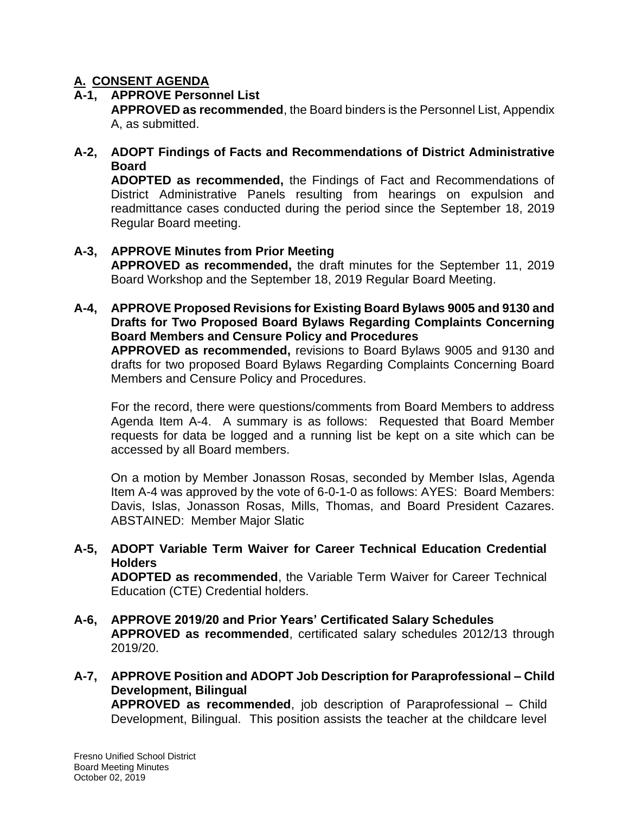# **A. CONSENT AGENDA**

# **A-1, APPROVE Personnel List**

**APPROVED as recommended**, the Board binders is the Personnel List, Appendix A, as submitted.

# **A-2, ADOPT Findings of Facts and Recommendations of District Administrative Board**

**ADOPTED as recommended,** the Findings of Fact and Recommendations of District Administrative Panels resulting from hearings on expulsion and readmittance cases conducted during the period since the September 18, 2019 Regular Board meeting.

# **A-3, APPROVE Minutes from Prior Meeting**

**APPROVED as recommended,** the draft minutes for the September 11, 2019 Board Workshop and the September 18, 2019 Regular Board Meeting.

## **A-4, APPROVE Proposed Revisions for Existing Board Bylaws 9005 and 9130 and Drafts for Two Proposed Board Bylaws Regarding Complaints Concerning Board Members and Censure Policy and Procedures**

**APPROVED as recommended,** revisions to Board Bylaws 9005 and 9130 and drafts for two proposed Board Bylaws Regarding Complaints Concerning Board Members and Censure Policy and Procedures.

For the record, there were questions/comments from Board Members to address Agenda Item A-4. A summary is as follows: Requested that Board Member requests for data be logged and a running list be kept on a site which can be accessed by all Board members.

On a motion by Member Jonasson Rosas, seconded by Member Islas, Agenda Item A-4 was approved by the vote of 6-0-1-0 as follows: AYES: Board Members: Davis, Islas, Jonasson Rosas, Mills, Thomas, and Board President Cazares. ABSTAINED: Member Major Slatic

### **A-5, ADOPT Variable Term Waiver for Career Technical Education Credential Holders**

**ADOPTED as recommended**, the Variable Term Waiver for Career Technical Education (CTE) Credential holders.

- **A-6, APPROVE 2019/20 and Prior Years' Certificated Salary Schedules APPROVED as recommended**, certificated salary schedules 2012/13 through 2019/20.
- **A-7, APPROVE Position and ADOPT Job Description for Paraprofessional – Child Development, Bilingual APPROVED as recommended**, job description of Paraprofessional – Child Development, Bilingual. This position assists the teacher at the childcare level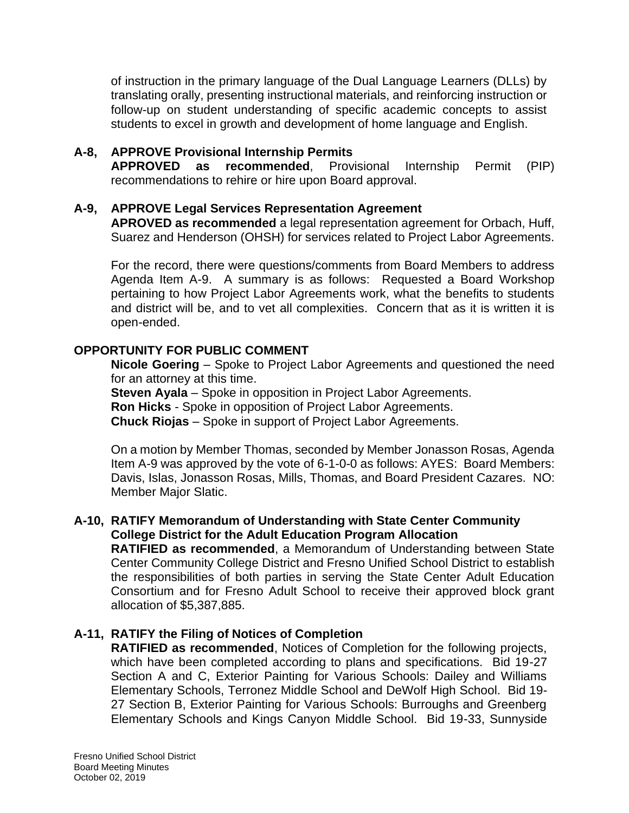of instruction in the primary language of the Dual Language Learners (DLLs) by translating orally, presenting instructional materials, and reinforcing instruction or follow-up on student understanding of specific academic concepts to assist students to excel in growth and development of home language and English.

# **A-8, APPROVE Provisional Internship Permits**

**APPROVED as recommended**, Provisional Internship Permit (PIP) recommendations to rehire or hire upon Board approval.

### **A-9, APPROVE Legal Services Representation Agreement**

**APROVED as recommended** a legal representation agreement for Orbach, Huff, Suarez and Henderson (OHSH) for services related to Project Labor Agreements.

For the record, there were questions/comments from Board Members to address Agenda Item A-9. A summary is as follows: Requested a Board Workshop pertaining to how Project Labor Agreements work, what the benefits to students and district will be, and to vet all complexities. Concern that as it is written it is open-ended.

# **OPPORTUNITY FOR PUBLIC COMMENT**

**Nicole Goering** – Spoke to Project Labor Agreements and questioned the need for an attorney at this time.

**Steven Ayala** – Spoke in opposition in Project Labor Agreements. **Ron Hicks** - Spoke in opposition of Project Labor Agreements. **Chuck Riojas** – Spoke in support of Project Labor Agreements.

On a motion by Member Thomas, seconded by Member Jonasson Rosas, Agenda Item A-9 was approved by the vote of 6-1-0-0 as follows: AYES: Board Members: Davis, Islas, Jonasson Rosas, Mills, Thomas, and Board President Cazares. NO: Member Major Slatic.

#### **A-10, RATIFY Memorandum of Understanding with State Center Community College District for the Adult Education Program Allocation**

**RATIFIED as recommended**, a Memorandum of Understanding between State Center Community College District and Fresno Unified School District to establish the responsibilities of both parties in serving the State Center Adult Education Consortium and for Fresno Adult School to receive their approved block grant allocation of \$5,387,885.

# **A-11, RATIFY the Filing of Notices of Completion**

**RATIFIED as recommended**, Notices of Completion for the following projects, which have been completed according to plans and specifications. Bid 19-27 Section A and C, Exterior Painting for Various Schools: Dailey and Williams Elementary Schools, Terronez Middle School and DeWolf High School. Bid 19- 27 Section B, Exterior Painting for Various Schools: Burroughs and Greenberg Elementary Schools and Kings Canyon Middle School. Bid 19-33, Sunnyside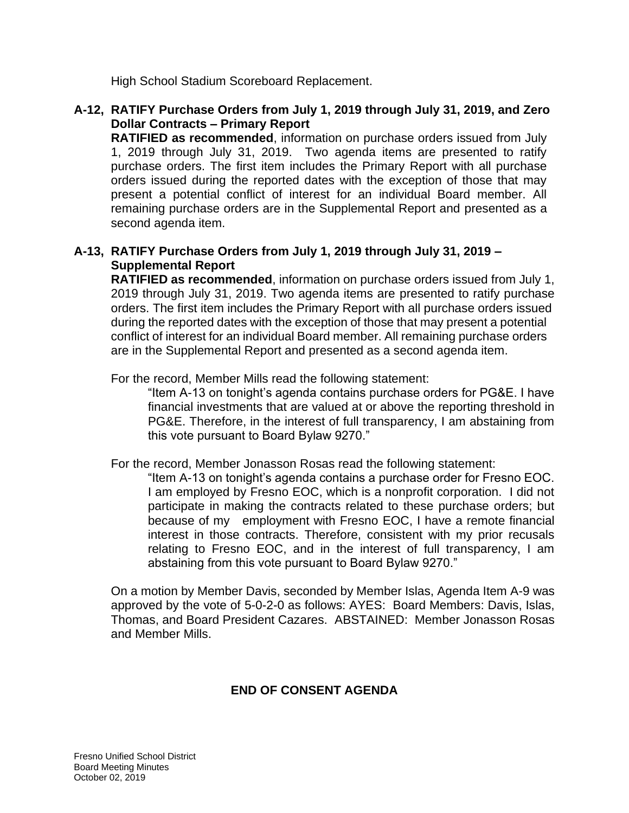High School Stadium Scoreboard Replacement.

# **A-12, RATIFY Purchase Orders from July 1, 2019 through July 31, 2019, and Zero Dollar Contracts – Primary Report**

**RATIFIED as recommended**, information on purchase orders issued from July 1, 2019 through July 31, 2019. Two agenda items are presented to ratify purchase orders. The first item includes the Primary Report with all purchase orders issued during the reported dates with the exception of those that may present a potential conflict of interest for an individual Board member. All remaining purchase orders are in the Supplemental Report and presented as a second agenda item.

# **A-13, RATIFY Purchase Orders from July 1, 2019 through July 31, 2019 – Supplemental Report**

**RATIFIED as recommended**, information on purchase orders issued from July 1, 2019 through July 31, 2019. Two agenda items are presented to ratify purchase orders. The first item includes the Primary Report with all purchase orders issued during the reported dates with the exception of those that may present a potential conflict of interest for an individual Board member. All remaining purchase orders are in the Supplemental Report and presented as a second agenda item.

For the record, Member Mills read the following statement:

"Item A-13 on tonight's agenda contains purchase orders for PG&E. I have financial investments that are valued at or above the reporting threshold in PG&E. Therefore, in the interest of full transparency, I am abstaining from this vote pursuant to Board Bylaw 9270."

For the record, Member Jonasson Rosas read the following statement:

"Item A-13 on tonight's agenda contains a purchase order for Fresno EOC. I am employed by Fresno EOC, which is a nonprofit corporation. I did not participate in making the contracts related to these purchase orders; but because of my employment with Fresno EOC, I have a remote financial interest in those contracts. Therefore, consistent with my prior recusals relating to Fresno EOC, and in the interest of full transparency, I am abstaining from this vote pursuant to Board Bylaw 9270."

On a motion by Member Davis, seconded by Member Islas, Agenda Item A-9 was approved by the vote of 5-0-2-0 as follows: AYES: Board Members: Davis, Islas, Thomas, and Board President Cazares. ABSTAINED: Member Jonasson Rosas and Member Mills.

# **END OF CONSENT AGENDA**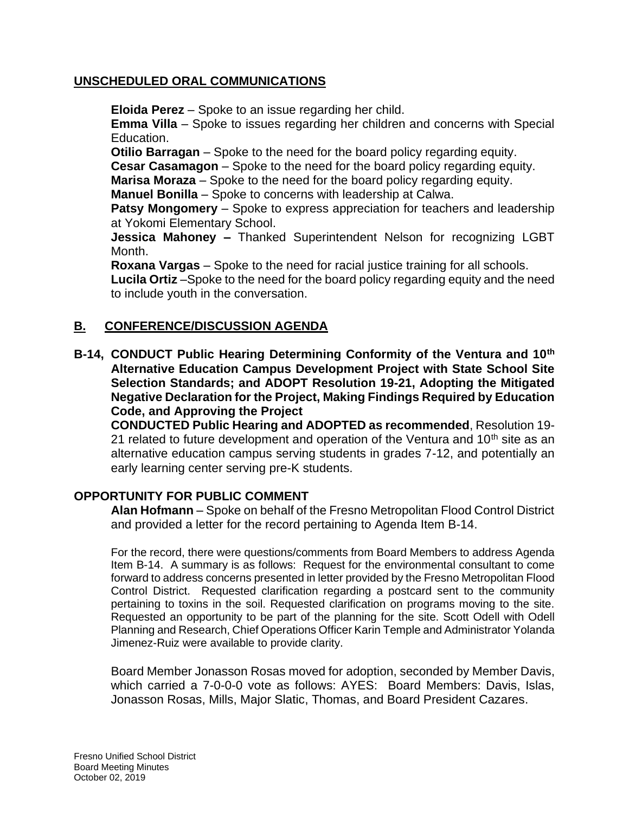#### **UNSCHEDULED ORAL COMMUNICATIONS**

**Eloida Perez** – Spoke to an issue regarding her child.

**Emma Villa** – Spoke to issues regarding her children and concerns with Special Education.

**Otilio Barragan** – Spoke to the need for the board policy regarding equity.

**Cesar Casamagon** – Spoke to the need for the board policy regarding equity.

**Marisa Moraza** – Spoke to the need for the board policy regarding equity.

**Manuel Bonilla** – Spoke to concerns with leadership at Calwa.

**Patsy Mongomery** – Spoke to express appreciation for teachers and leadership at Yokomi Elementary School.

**Jessica Mahoney –** Thanked Superintendent Nelson for recognizing LGBT Month.

**Roxana Vargas** – Spoke to the need for racial justice training for all schools.

**Lucila Ortiz** –Spoke to the need for the board policy regarding equity and the need to include youth in the conversation.

# **B. CONFERENCE/DISCUSSION AGENDA**

**B-14, CONDUCT Public Hearing Determining Conformity of the Ventura and 10th Alternative Education Campus Development Project with State School Site Selection Standards; and ADOPT Resolution 19-21, Adopting the Mitigated Negative Declaration for the Project, Making Findings Required by Education Code, and Approving the Project** 

**CONDUCTED Public Hearing and ADOPTED as recommended**, Resolution 19- 21 related to future development and operation of the Ventura and  $10<sup>th</sup>$  site as an alternative education campus serving students in grades 7-12, and potentially an early learning center serving pre-K students.

# **OPPORTUNITY FOR PUBLIC COMMENT**

**Alan Hofmann** – Spoke on behalf of the Fresno Metropolitan Flood Control District and provided a letter for the record pertaining to Agenda Item B-14.

For the record, there were questions/comments from Board Members to address Agenda Item B-14. A summary is as follows: Request for the environmental consultant to come forward to address concerns presented in letter provided by the Fresno Metropolitan Flood Control District. Requested clarification regarding a postcard sent to the community pertaining to toxins in the soil. Requested clarification on programs moving to the site. Requested an opportunity to be part of the planning for the site. Scott Odell with Odell Planning and Research, Chief Operations Officer Karin Temple and Administrator Yolanda Jimenez-Ruiz were available to provide clarity.

Board Member Jonasson Rosas moved for adoption, seconded by Member Davis, which carried a 7-0-0-0 vote as follows: AYES: Board Members: Davis, Islas, Jonasson Rosas, Mills, Major Slatic, Thomas, and Board President Cazares.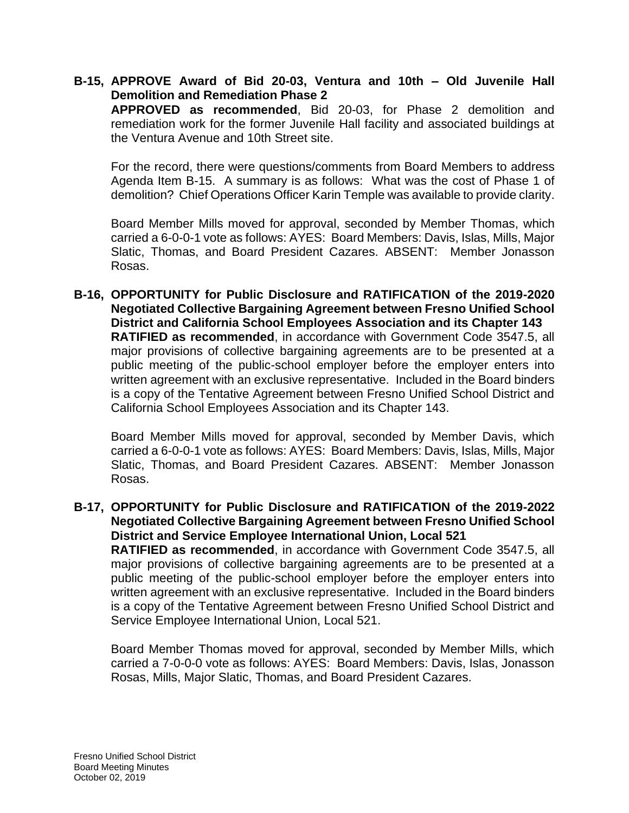# **B-15, APPROVE Award of Bid 20-03, Ventura and 10th – Old Juvenile Hall Demolition and Remediation Phase 2**

**APPROVED as recommended**, Bid 20-03, for Phase 2 demolition and remediation work for the former Juvenile Hall facility and associated buildings at the Ventura Avenue and 10th Street site.

For the record, there were questions/comments from Board Members to address Agenda Item B-15. A summary is as follows: What was the cost of Phase 1 of demolition? Chief Operations Officer Karin Temple was available to provide clarity.

Board Member Mills moved for approval, seconded by Member Thomas, which carried a 6-0-0-1 vote as follows: AYES: Board Members: Davis, Islas, Mills, Major Slatic, Thomas, and Board President Cazares. ABSENT: Member Jonasson Rosas.

**B-16, OPPORTUNITY for Public Disclosure and RATIFICATION of the 2019-2020 Negotiated Collective Bargaining Agreement between Fresno Unified School District and California School Employees Association and its Chapter 143 RATIFIED as recommended**, in accordance with Government Code 3547.5, all major provisions of collective bargaining agreements are to be presented at a public meeting of the public-school employer before the employer enters into written agreement with an exclusive representative. Included in the Board binders is a copy of the Tentative Agreement between Fresno Unified School District and California School Employees Association and its Chapter 143.

Board Member Mills moved for approval, seconded by Member Davis, which carried a 6-0-0-1 vote as follows: AYES: Board Members: Davis, Islas, Mills, Major Slatic, Thomas, and Board President Cazares. ABSENT: Member Jonasson Rosas.

**B-17, OPPORTUNITY for Public Disclosure and RATIFICATION of the 2019-2022 Negotiated Collective Bargaining Agreement between Fresno Unified School District and Service Employee International Union, Local 521**

**RATIFIED as recommended**, in accordance with Government Code 3547.5, all major provisions of collective bargaining agreements are to be presented at a public meeting of the public-school employer before the employer enters into written agreement with an exclusive representative. Included in the Board binders is a copy of the Tentative Agreement between Fresno Unified School District and Service Employee International Union, Local 521.

Board Member Thomas moved for approval, seconded by Member Mills, which carried a 7-0-0-0 vote as follows: AYES: Board Members: Davis, Islas, Jonasson Rosas, Mills, Major Slatic, Thomas, and Board President Cazares.